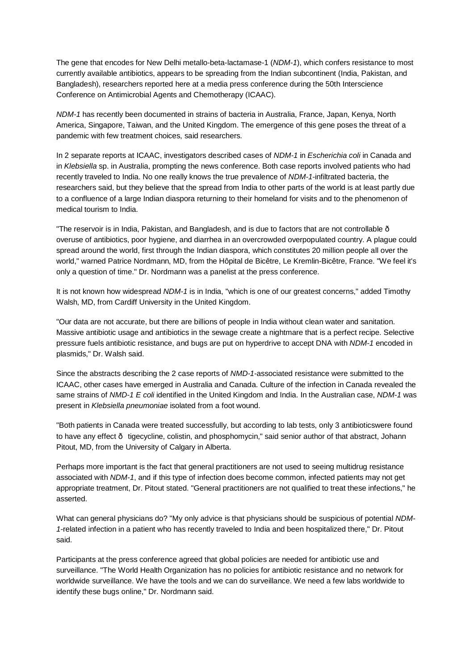The gene that encodes for New Delhi metallo-beta-lactamase-1 (*NDM-1*), which confers resistance to most currently available antibiotics, appears to be spreading from the Indian subcontinent (India, Pakistan, and Bangladesh), researchers reported here at a media press conference during the 50th Interscience Conference on Antimicrobial Agents and Chemotherapy (ICAAC).

*NDM-1* has recently been documented in strains of bacteria in Australia, France, Japan, Kenya, North America, Singapore, Taiwan, and the United Kingdom. The emergence of this gene poses the threat of a pandemic with few treatment choices, said researchers.

In 2 separate reports at ICAAC, investigators described cases of *NDM-1* in *Escherichia coli* in Canada and in *Klebsiella* sp. in Australia, prompting the news conference. Both case reports involved patients who had recently traveled to India. No one really knows the true prevalence of *NDM-1*-infiltrated bacteria, the researchers said, but they believe that the spread from India to other parts of the world is at least partly due to a confluence of a large Indian diaspora returning to their homeland for visits and to the phenomenon of medical tourism to India.

"The reservoir is in India, Pakistan, and Bangladesh, and is due to factors that are not controllable overuse of antibiotics, poor hygiene, and diarrhea in an overcrowded overpopulated country. A plague could spread around the world, first through the Indian diaspora, which constitutes 20 million people all over the world," warned Patrice Nordmann, MD, from the Hôpital de Bicêtre, Le Kremlin-Bicêtre, France. "We feel it's only a question of time." Dr. Nordmann was a panelist at the press conference.

It is not known how widespread *NDM-1* is in India, "which is one of our greatest concerns," added Timothy Walsh, MD, from Cardiff University in the United Kingdom.

"Our data are not accurate, but there are billions of people in India without clean water and sanitation. Massive antibiotic usage and antibiotics in the sewage create a nightmare that is a perfect recipe. Selective pressure fuels antibiotic resistance, and bugs are put on hyperdrive to accept DNA with *NDM-1* encoded in plasmids," Dr. Walsh said.

Since the abstracts describing the 2 case reports of *NMD-1*-associated resistance were submitted to the ICAAC, other cases have emerged in Australia and Canada. Culture of the infection in Canada revealed the same strains of *NMD-1 E coli* identified in the United Kingdom and India. In the Australian case, *NDM-1* was present in *Klebsiella pneumoniae* isolated from a foot wound.

"Both patients in Canada were treated successfully, but according to lab tests, only 3 antibioticswere found to have any effect  $\cdot$  tigecycline, colistin, and phosphomycin," said senior author of that abstract, Johann Pitout, MD, from the University of Calgary in Alberta.

Perhaps more important is the fact that general practitioners are not used to seeing multidrug resistance associated with *NDM-1*, and if this type of infection does become common, infected patients may not get appropriate treatment, Dr. Pitout stated. "General practitioners are not qualified to treat these infections," he asserted.

What can general physicians do? "My only advice is that physicians should be suspicious of potential *NDM-1*-related infection in a patient who has recently traveled to India and been hospitalized there," Dr. Pitout said.

Participants at the press conference agreed that global policies are needed for antibiotic use and surveillance. "The World Health Organization has no policies for antibiotic resistance and no network for worldwide surveillance. We have the tools and we can do surveillance. We need a few labs worldwide to identify these bugs online," Dr. Nordmann said.